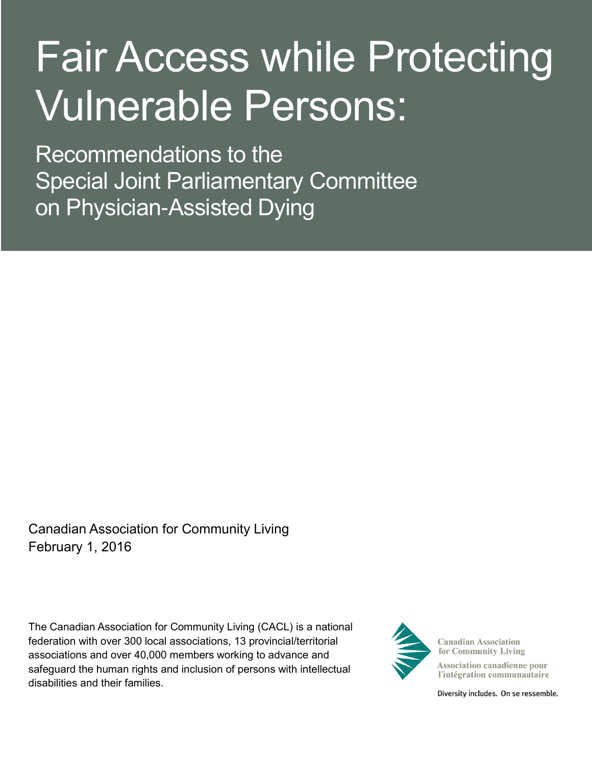# Fair Access while Protecting Vulnerable Persons:

Recommendations to the Special Joint Parliamentary Committee on Physician-Assisted Dying

Canadian Association for Community Living February 1, 2016

The Canadian Association for Community Living (CACL) is a national federation with over 300 local associations, 13 provincial/territorial associations and over 40,000 members working to advance and safeguard the human rights and inclusion of persons with intellectual disabilities and their families.



**Canadian Association** for Community Living

**Association canadienne pour** l'intégration communautaire

Diversity includes. On se ressemble.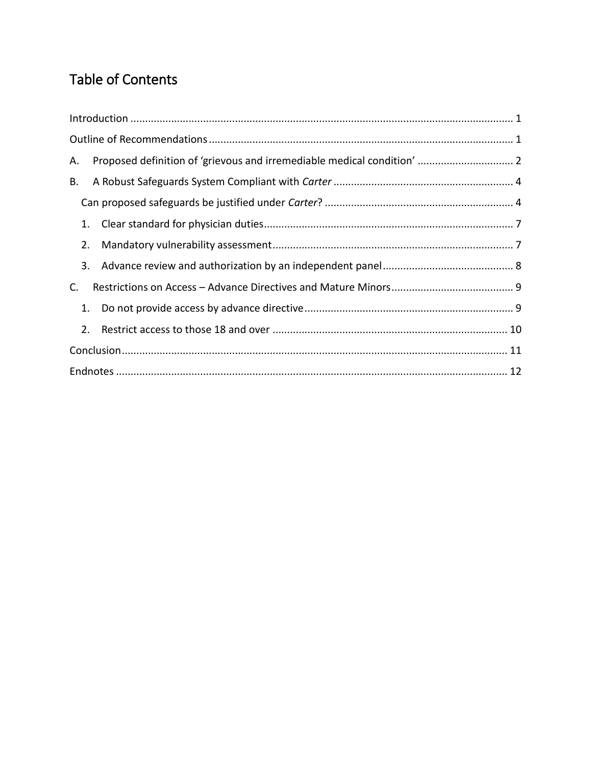# Table of Contents

| А. |  |
|----|--|
| В. |  |
|    |  |
| 1. |  |
| 2. |  |
| 3. |  |
| C. |  |
| 1. |  |
| 2. |  |
|    |  |
|    |  |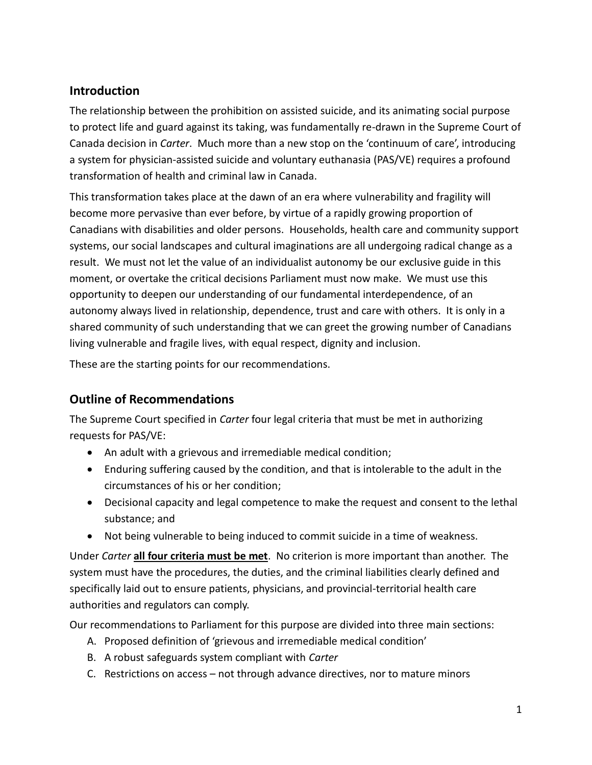# <span id="page-2-0"></span>**Introduction**

The relationship between the prohibition on assisted suicide, and its animating social purpose to protect life and guard against its taking, was fundamentally re-drawn in the Supreme Court of Canada decision in *Carter*. Much more than a new stop on the 'continuum of care', introducing a system for physician-assisted suicide and voluntary euthanasia (PAS/VE) requires a profound transformation of health and criminal law in Canada.

This transformation takes place at the dawn of an era where vulnerability and fragility will become more pervasive than ever before, by virtue of a rapidly growing proportion of Canadians with disabilities and older persons. Households, health care and community support systems, our social landscapes and cultural imaginations are all undergoing radical change as a result. We must not let the value of an individualist autonomy be our exclusive guide in this moment, or overtake the critical decisions Parliament must now make. We must use this opportunity to deepen our understanding of our fundamental interdependence, of an autonomy always lived in relationship, dependence, trust and care with others. It is only in a shared community of such understanding that we can greet the growing number of Canadians living vulnerable and fragile lives, with equal respect, dignity and inclusion.

These are the starting points for our recommendations.

# <span id="page-2-1"></span>**Outline of Recommendations**

The Supreme Court specified in *Carter* four legal criteria that must be met in authorizing requests for PAS/VE:

- An adult with a grievous and irremediable medical condition;
- Enduring suffering caused by the condition, and that is intolerable to the adult in the circumstances of his or her condition;
- Decisional capacity and legal competence to make the request and consent to the lethal substance; and
- Not being vulnerable to being induced to commit suicide in a time of weakness.

Under *Carter* **all four criteria must be met**. No criterion is more important than another. The system must have the procedures, the duties, and the criminal liabilities clearly defined and specifically laid out to ensure patients, physicians, and provincial-territorial health care authorities and regulators can comply.

Our recommendations to Parliament for this purpose are divided into three main sections:

- A. Proposed definition of 'grievous and irremediable medical condition'
- B. A robust safeguards system compliant with *Carter*
- C. Restrictions on access not through advance directives, nor to mature minors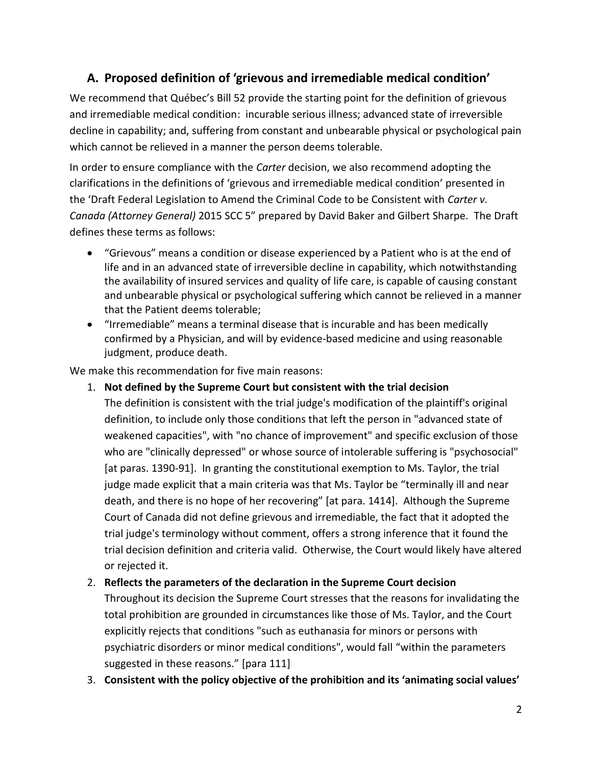# <span id="page-3-0"></span>**A. Proposed definition of 'grievous and irremediable medical condition'**

We recommend that Québec's Bill 52 provide the starting point for the definition of grievous and irremediable medical condition: incurable serious illness; advanced state of irreversible decline in capability; and, suffering from constant and unbearable physical or psychological pain which cannot be relieved in a manner the person deems tolerable.

In order to ensure compliance with the *Carter* decision, we also recommend adopting the clarifications in the definitions of 'grievous and irremediable medical condition' presented in the 'Draft Federal Legislation to Amend the Criminal Code to be Consistent with *Carter v. Canada (Attorney General)* 2015 SCC 5" prepared by David Baker and Gilbert Sharpe. The Draft defines these terms as follows:

- "Grievous" means a condition or disease experienced by a Patient who is at the end of life and in an advanced state of irreversible decline in capability, which notwithstanding the availability of insured services and quality of life care, is capable of causing constant and unbearable physical or psychological suffering which cannot be relieved in a manner that the Patient deems tolerable;
- "Irremediable" means a terminal disease that is incurable and has been medically confirmed by a Physician, and will by evidence-based medicine and using reasonable judgment, produce death.

We make this recommendation for five main reasons:

1. **Not defined by the Supreme Court but consistent with the trial decision**

The definition is consistent with the trial judge's modification of the plaintiff's original definition, to include only those conditions that left the person in "advanced state of weakened capacities", with "no chance of improvement" and specific exclusion of those who are "clinically depressed" or whose source of intolerable suffering is "psychosocial" [at paras. 1390-91]. In granting the constitutional exemption to Ms. Taylor, the trial judge made explicit that a main criteria was that Ms. Taylor be "terminally ill and near death, and there is no hope of her recovering" [at para. 1414]. Although the Supreme Court of Canada did not define grievous and irremediable, the fact that it adopted the trial judge's terminology without comment, offers a strong inference that it found the trial decision definition and criteria valid. Otherwise, the Court would likely have altered or rejected it.

#### 2. **Reflects the parameters of the declaration in the Supreme Court decision**

Throughout its decision the Supreme Court stresses that the reasons for invalidating the total prohibition are grounded in circumstances like those of Ms. Taylor, and the Court explicitly rejects that conditions "such as euthanasia for minors or persons with psychiatric disorders or minor medical conditions", would fall "within the parameters suggested in these reasons." [para 111]

3. **Consistent with the policy objective of the prohibition and its 'animating social values'**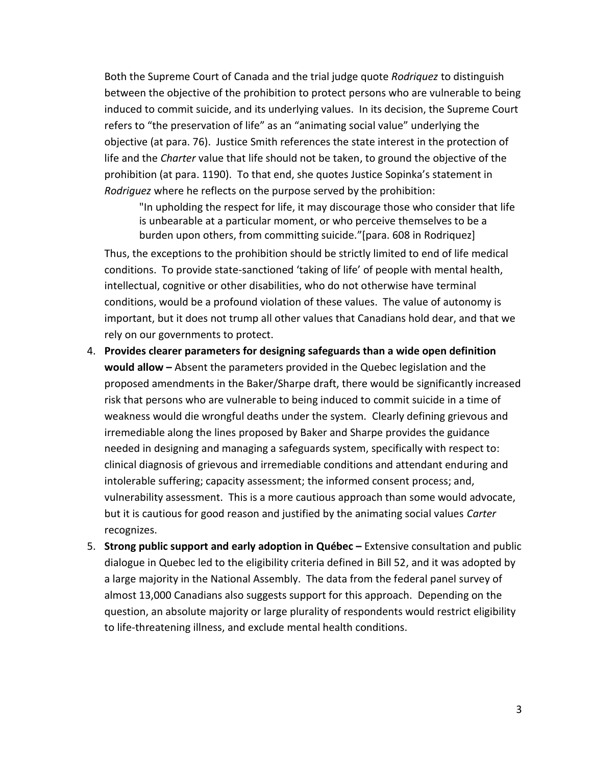Both the Supreme Court of Canada and the trial judge quote *Rodriquez* to distinguish between the objective of the prohibition to protect persons who are vulnerable to being induced to commit suicide, and its underlying values. In its decision, the Supreme Court refers to "the preservation of life" as an "animating social value" underlying the objective (at para. 76). Justice Smith references the state interest in the protection of life and the *Charter* value that life should not be taken, to ground the objective of the prohibition (at para. 1190). To that end, she quotes Justice Sopinka's statement in *Rodriguez* where he reflects on the purpose served by the prohibition:

"In upholding the respect for life, it may discourage those who consider that life is unbearable at a particular moment, or who perceive themselves to be a burden upon others, from committing suicide."[para. 608 in Rodriquez]

Thus, the exceptions to the prohibition should be strictly limited to end of life medical conditions. To provide state-sanctioned 'taking of life' of people with mental health, intellectual, cognitive or other disabilities, who do not otherwise have terminal conditions, would be a profound violation of these values. The value of autonomy is important, but it does not trump all other values that Canadians hold dear, and that we rely on our governments to protect.

- 4. **Provides clearer parameters for designing safeguards than a wide open definition would allow –** Absent the parameters provided in the Quebec legislation and the proposed amendments in the Baker/Sharpe draft, there would be significantly increased risk that persons who are vulnerable to being induced to commit suicide in a time of weakness would die wrongful deaths under the system. Clearly defining grievous and irremediable along the lines proposed by Baker and Sharpe provides the guidance needed in designing and managing a safeguards system, specifically with respect to: clinical diagnosis of grievous and irremediable conditions and attendant enduring and intolerable suffering; capacity assessment; the informed consent process; and, vulnerability assessment. This is a more cautious approach than some would advocate, but it is cautious for good reason and justified by the animating social values *Carter*  recognizes.
- 5. **Strong public support and early adoption in Québec –** Extensive consultation and public dialogue in Quebec led to the eligibility criteria defined in Bill 52, and it was adopted by a large majority in the National Assembly. The data from the federal panel survey of almost 13,000 Canadians also suggests support for this approach. Depending on the question, an absolute majority or large plurality of respondents would restrict eligibility to life-threatening illness, and exclude mental health conditions.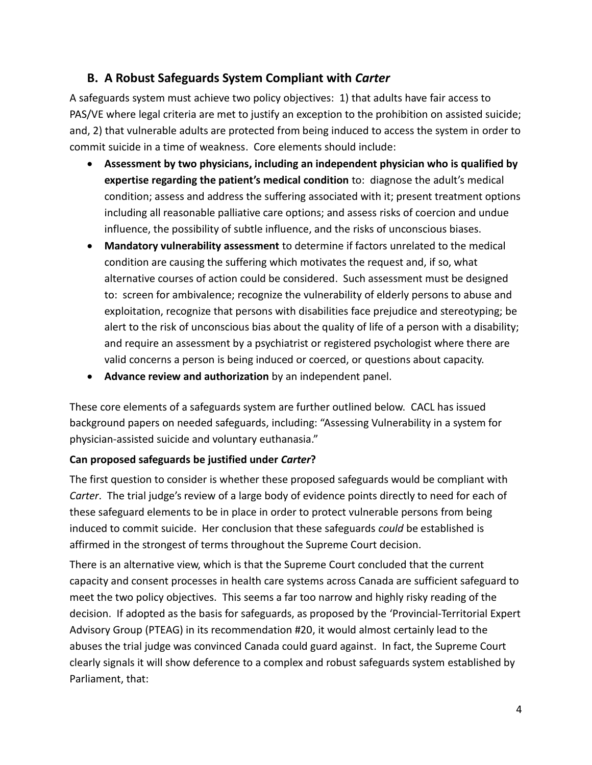# <span id="page-5-0"></span>**B. A Robust Safeguards System Compliant with** *Carter*

A safeguards system must achieve two policy objectives: 1) that adults have fair access to PAS/VE where legal criteria are met to justify an exception to the prohibition on assisted suicide; and, 2) that vulnerable adults are protected from being induced to access the system in order to commit suicide in a time of weakness. Core elements should include:

- **Assessment by two physicians, including an independent physician who is qualified by expertise regarding the patient's medical condition** to: diagnose the adult's medical condition; assess and address the suffering associated with it; present treatment options including all reasonable palliative care options; and assess risks of coercion and undue influence, the possibility of subtle influence, and the risks of unconscious biases.
- **Mandatory vulnerability assessment** to determine if factors unrelated to the medical condition are causing the suffering which motivates the request and, if so, what alternative courses of action could be considered. Such assessment must be designed to: screen for ambivalence; recognize the vulnerability of elderly persons to abuse and exploitation, recognize that persons with disabilities face prejudice and stereotyping; be alert to the risk of unconscious bias about the quality of life of a person with a disability; and require an assessment by a psychiatrist or registered psychologist where there are valid concerns a person is being induced or coerced, or questions about capacity.
- **Advance review and authorization** by an independent panel.

These core elements of a safeguards system are further outlined below. CACL has issued background papers on needed safeguards, including: "Assessing Vulnerability in a system for physician-assisted suicide and voluntary euthanasia."

#### <span id="page-5-1"></span>**Can proposed safeguards be justified under** *Carter***?**

The first question to consider is whether these proposed safeguards would be compliant with *Carter*. The trial judge's review of a large body of evidence points directly to need for each of these safeguard elements to be in place in order to protect vulnerable persons from being induced to commit suicide. Her conclusion that these safeguards *could* be established is affirmed in the strongest of terms throughout the Supreme Court decision.

There is an alternative view, which is that the Supreme Court concluded that the current capacity and consent processes in health care systems across Canada are sufficient safeguard to meet the two policy objectives. This seems a far too narrow and highly risky reading of the decision. If adopted as the basis for safeguards, as proposed by the 'Provincial-Territorial Expert Advisory Group (PTEAG) in its recommendation #20, it would almost certainly lead to the abuses the trial judge was convinced Canada could guard against. In fact, the Supreme Court clearly signals it will show deference to a complex and robust safeguards system established by Parliament, that: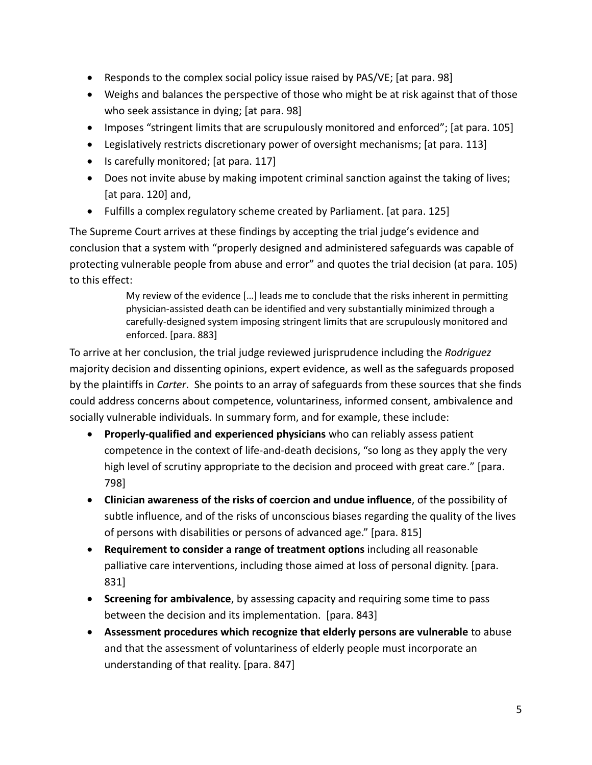- Responds to the complex social policy issue raised by PAS/VE; [at para. 98]
- Weighs and balances the perspective of those who might be at risk against that of those who seek assistance in dying; [at para. 98]
- Imposes "stringent limits that are scrupulously monitored and enforced"; [at para. 105]
- Legislatively restricts discretionary power of oversight mechanisms; [at para. 113]
- Is carefully monitored; [at para. 117]
- Does not invite abuse by making impotent criminal sanction against the taking of lives; [at para. 120] and,
- Fulfills a complex regulatory scheme created by Parliament. [at para. 125]

The Supreme Court arrives at these findings by accepting the trial judge's evidence and conclusion that a system with "properly designed and administered safeguards was capable of protecting vulnerable people from abuse and error" and quotes the trial decision (at para. 105) to this effect:

> My review of the evidence […] leads me to conclude that the risks inherent in permitting physician-assisted death can be identified and very substantially minimized through a carefully-designed system imposing stringent limits that are scrupulously monitored and enforced. [para. 883]

To arrive at her conclusion, the trial judge reviewed jurisprudence including the *Rodriguez*  majority decision and dissenting opinions, expert evidence, as well as the safeguards proposed by the plaintiffs in *Carter*. She points to an array of safeguards from these sources that she finds could address concerns about competence, voluntariness, informed consent, ambivalence and socially vulnerable individuals. In summary form, and for example, these include:

- **Properly-qualified and experienced physicians** who can reliably assess patient competence in the context of life-and-death decisions, "so long as they apply the very high level of scrutiny appropriate to the decision and proceed with great care." [para. 798]
- **Clinician awareness of the risks of coercion and undue influence**, of the possibility of subtle influence, and of the risks of unconscious biases regarding the quality of the lives of persons with disabilities or persons of advanced age." [para. 815]
- **Requirement to consider a range of treatment options** including all reasonable palliative care interventions, including those aimed at loss of personal dignity. [para. 831]
- **Screening for ambivalence**, by assessing capacity and requiring some time to pass between the decision and its implementation. [para. 843]
- **Assessment procedures which recognize that elderly persons are vulnerable** to abuse and that the assessment of voluntariness of elderly people must incorporate an understanding of that reality. [para. 847]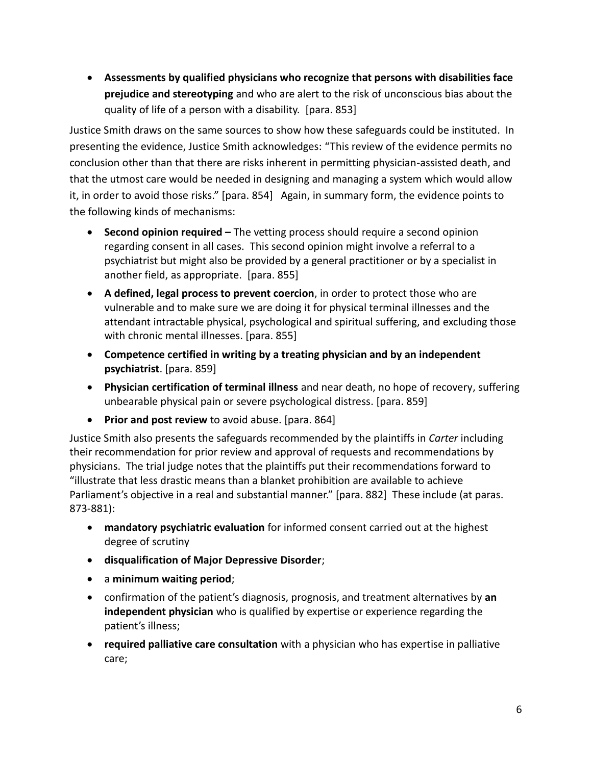**Assessments by qualified physicians who recognize that persons with disabilities face prejudice and stereotyping** and who are alert to the risk of unconscious bias about the quality of life of a person with a disability. [para. 853]

Justice Smith draws on the same sources to show how these safeguards could be instituted. In presenting the evidence, Justice Smith acknowledges: "This review of the evidence permits no conclusion other than that there are risks inherent in permitting physician-assisted death, and that the utmost care would be needed in designing and managing a system which would allow it, in order to avoid those risks." [para. 854] Again, in summary form, the evidence points to the following kinds of mechanisms:

- **Second opinion required –** The vetting process should require a second opinion regarding consent in all cases. This second opinion might involve a referral to a psychiatrist but might also be provided by a general practitioner or by a specialist in another field, as appropriate. [para. 855]
- **A defined, legal process to prevent coercion**, in order to protect those who are vulnerable and to make sure we are doing it for physical terminal illnesses and the attendant intractable physical, psychological and spiritual suffering, and excluding those with chronic mental illnesses. [para. 855]
- **Competence certified in writing by a treating physician and by an independent psychiatrist**. [para. 859]
- **Physician certification of terminal illness** and near death, no hope of recovery, suffering unbearable physical pain or severe psychological distress. [para. 859]
- **Prior and post review** to avoid abuse. [para. 864]

Justice Smith also presents the safeguards recommended by the plaintiffs in *Carter* including their recommendation for prior review and approval of requests and recommendations by physicians. The trial judge notes that the plaintiffs put their recommendations forward to "illustrate that less drastic means than a blanket prohibition are available to achieve Parliament's objective in a real and substantial manner." [para. 882] These include (at paras. 873-881):

- **mandatory psychiatric evaluation** for informed consent carried out at the highest degree of scrutiny
- **disqualification of Major Depressive Disorder**;
- a **minimum waiting period**;
- confirmation of the patient's diagnosis, prognosis, and treatment alternatives by **an independent physician** who is qualified by expertise or experience regarding the patient's illness;
- **required palliative care consultation** with a physician who has expertise in palliative care;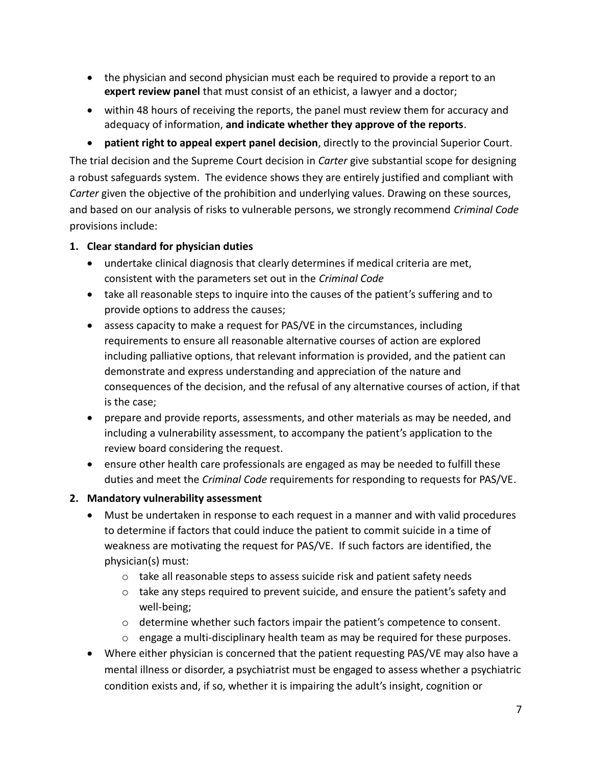- the physician and second physician must each be required to provide a report to an **expert review panel** that must consist of an ethicist, a lawyer and a doctor;
- within 48 hours of receiving the reports, the panel must review them for accuracy and adequacy of information, **and indicate whether they approve of the reports**.

 **patient right to appeal expert panel decision**, directly to the provincial Superior Court. The trial decision and the Supreme Court decision in *Carter* give substantial scope for designing a robust safeguards system. The evidence shows they are entirely justified and compliant with *Carter* given the objective of the prohibition and underlying values. Drawing on these sources, and based on our analysis of risks to vulnerable persons, we strongly recommend *Criminal Code*  provisions include:

## <span id="page-8-0"></span>**1. Clear standard for physician duties**

- undertake clinical diagnosis that clearly determines if medical criteria are met, consistent with the parameters set out in the *Criminal Code*
- take all reasonable steps to inquire into the causes of the patient's suffering and to provide options to address the causes;
- assess capacity to make a request for PAS/VE in the circumstances, including requirements to ensure all reasonable alternative courses of action are explored including palliative options, that relevant information is provided, and the patient can demonstrate and express understanding and appreciation of the nature and consequences of the decision, and the refusal of any alternative courses of action, if that is the case;
- prepare and provide reports, assessments, and other materials as may be needed, and including a vulnerability assessment, to accompany the patient's application to the review board considering the request.
- ensure other health care professionals are engaged as may be needed to fulfill these duties and meet the *Criminal Code* requirements for responding to requests for PAS/VE.

# <span id="page-8-1"></span>**2. Mandatory vulnerability assessment**

- Must be undertaken in response to each request in a manner and with valid procedures to determine if factors that could induce the patient to commit suicide in a time of weakness are motivating the request for PAS/VE. If such factors are identified, the physician(s) must:
	- o take all reasonable steps to assess suicide risk and patient safety needs
	- $\circ$  take any steps required to prevent suicide, and ensure the patient's safety and well-being;
	- $\circ$  determine whether such factors impair the patient's competence to consent.
	- $\circ$  engage a multi-disciplinary health team as may be required for these purposes.
- Where either physician is concerned that the patient requesting PAS/VE may also have a mental illness or disorder, a psychiatrist must be engaged to assess whether a psychiatric condition exists and, if so, whether it is impairing the adult's insight, cognition or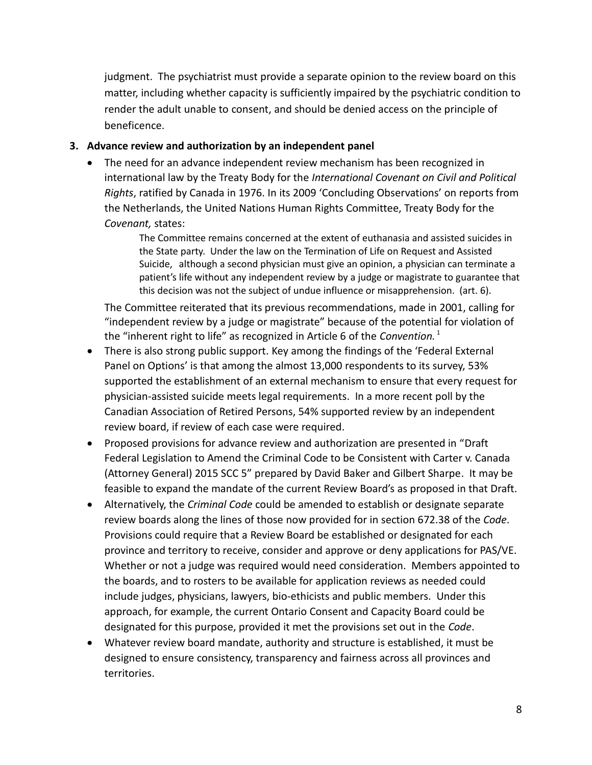judgment. The psychiatrist must provide a separate opinion to the review board on this matter, including whether capacity is sufficiently impaired by the psychiatric condition to render the adult unable to consent, and should be denied access on the principle of beneficence.

#### <span id="page-9-0"></span>**3. Advance review and authorization by an independent panel**

 The need for an advance independent review mechanism has been recognized in international law by the Treaty Body for the *International Covenant on Civil and Political Rights*, ratified by Canada in 1976. In its 2009 'Concluding Observations' on reports from the Netherlands, the United Nations Human Rights Committee, Treaty Body for the *Covenant,* states:

> The Committee remains concerned at the extent of euthanasia and assisted suicides in the State party. Under the law on the Termination of Life on Request and Assisted Suicide, although a second physician must give an opinion, a physician can terminate a patient's life without any independent review by a judge or magistrate to guarantee that this decision was not the subject of undue influence or misapprehension. (art. 6).

The Committee reiterated that its previous recommendations, made in 2001, calling for "independent review by a judge or magistrate" because of the potential for violation of the "inherent right to life" as recognized in Article 6 of the *Convention*.<sup>1</sup>

- There is also strong public support. Key among the findings of the 'Federal External Panel on Options' is that among the almost 13,000 respondents to its survey, 53% supported the establishment of an external mechanism to ensure that every request for physician-assisted suicide meets legal requirements. In a more recent poll by the Canadian Association of Retired Persons, 54% supported review by an independent review board, if review of each case were required.
- Proposed provisions for advance review and authorization are presented in "Draft Federal Legislation to Amend the Criminal Code to be Consistent with Carter v. Canada (Attorney General) 2015 SCC 5" prepared by David Baker and Gilbert Sharpe. It may be feasible to expand the mandate of the current Review Board's as proposed in that Draft.
- Alternatively, the *Criminal Code* could be amended to establish or designate separate review boards along the lines of those now provided for in section 672.38 of the *Code*. Provisions could require that a Review Board be established or designated for each province and territory to receive, consider and approve or deny applications for PAS/VE. Whether or not a judge was required would need consideration. Members appointed to the boards, and to rosters to be available for application reviews as needed could include judges, physicians, lawyers, bio-ethicists and public members. Under this approach, for example, the current Ontario Consent and Capacity Board could be designated for this purpose, provided it met the provisions set out in the *Code*.
- Whatever review board mandate, authority and structure is established, it must be designed to ensure consistency, transparency and fairness across all provinces and territories.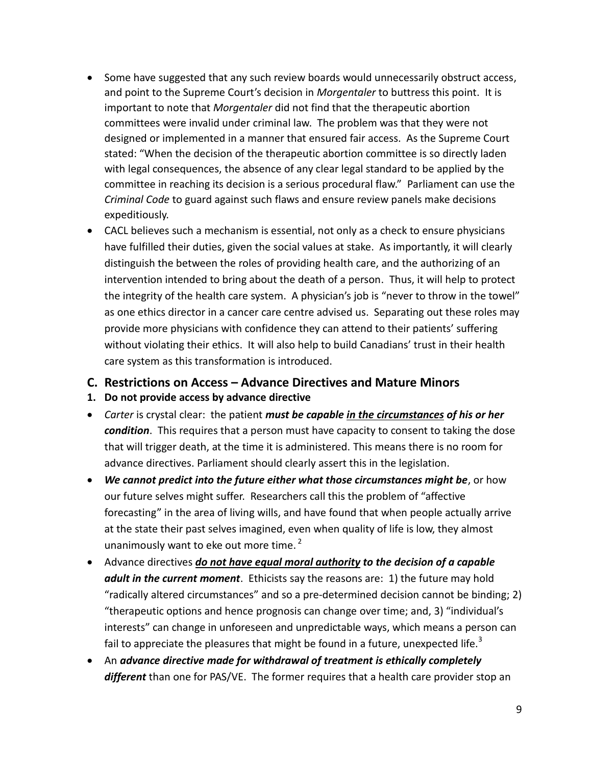- Some have suggested that any such review boards would unnecessarily obstruct access, and point to the Supreme Court's decision in *Morgentaler* to buttress this point. It is important to note that *Morgentaler* did not find that the therapeutic abortion committees were invalid under criminal law. The problem was that they were not designed or implemented in a manner that ensured fair access. As the Supreme Court stated: "When the decision of the therapeutic abortion committee is so directly laden with legal consequences, the absence of any clear legal standard to be applied by the committee in reaching its decision is a serious procedural flaw." Parliament can use the *Criminal Code* to guard against such flaws and ensure review panels make decisions expeditiously.
- CACL believes such a mechanism is essential, not only as a check to ensure physicians have fulfilled their duties, given the social values at stake. As importantly, it will clearly distinguish the between the roles of providing health care, and the authorizing of an intervention intended to bring about the death of a person. Thus, it will help to protect the integrity of the health care system. A physician's job is "never to throw in the towel" as one ethics director in a cancer care centre advised us. Separating out these roles may provide more physicians with confidence they can attend to their patients' suffering without violating their ethics. It will also help to build Canadians' trust in their health care system as this transformation is introduced.
- <span id="page-10-0"></span>**C. Restrictions on Access – Advance Directives and Mature Minors**
- <span id="page-10-1"></span>**1. Do not provide access by advance directive**
- *Carter* is crystal clear: the patient *must be capable in the circumstances of his or her condition*. This requires that a person must have capacity to consent to taking the dose that will trigger death, at the time it is administered. This means there is no room for advance directives. Parliament should clearly assert this in the legislation.
- *We cannot predict into the future either what those circumstances might be*, or how our future selves might suffer. Researchers call this the problem of "affective forecasting" in the area of living wills, and have found that when people actually arrive at the state their past selves imagined, even when quality of life is low, they almost unanimously want to eke out more time. $2$
- Advance directives *do not have equal moral authority to the decision of a capable adult in the current moment*. Ethicists say the reasons are: 1) the future may hold "radically altered circumstances" and so a pre-determined decision cannot be binding; 2) "therapeutic options and hence prognosis can change over time; and, 3) "individual's interests" can change in unforeseen and unpredictable ways, which means a person can fail to appreciate the pleasures that might be found in a future, unexpected life.<sup>3</sup>
- An *advance directive made for withdrawal of treatment is ethically completely different* than one for PAS/VE. The former requires that a health care provider stop an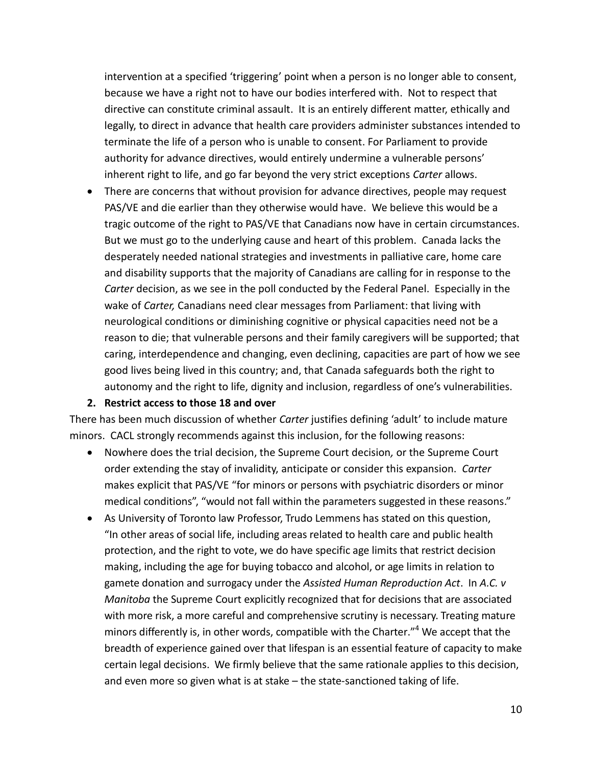intervention at a specified 'triggering' point when a person is no longer able to consent, because we have a right not to have our bodies interfered with. Not to respect that directive can constitute criminal assault. It is an entirely different matter, ethically and legally, to direct in advance that health care providers administer substances intended to terminate the life of a person who is unable to consent. For Parliament to provide authority for advance directives, would entirely undermine a vulnerable persons' inherent right to life, and go far beyond the very strict exceptions *Carter* allows.

 There are concerns that without provision for advance directives, people may request PAS/VE and die earlier than they otherwise would have. We believe this would be a tragic outcome of the right to PAS/VE that Canadians now have in certain circumstances. But we must go to the underlying cause and heart of this problem. Canada lacks the desperately needed national strategies and investments in palliative care, home care and disability supports that the majority of Canadians are calling for in response to the *Carter* decision, as we see in the poll conducted by the Federal Panel. Especially in the wake of *Carter,* Canadians need clear messages from Parliament: that living with neurological conditions or diminishing cognitive or physical capacities need not be a reason to die; that vulnerable persons and their family caregivers will be supported; that caring, interdependence and changing, even declining, capacities are part of how we see good lives being lived in this country; and, that Canada safeguards both the right to autonomy and the right to life, dignity and inclusion, regardless of one's vulnerabilities.

#### **2. Restrict access to those 18 and over**

<span id="page-11-0"></span>There has been much discussion of whether *Carter* justifies defining 'adult' to include mature minors. CACL strongly recommends against this inclusion, for the following reasons:

- Nowhere does the trial decision, the Supreme Court decision*,* or the Supreme Court order extending the stay of invalidity, anticipate or consider this expansion. *Carter*  makes explicit that PAS/VE "for minors or persons with psychiatric disorders or minor medical conditions", "would not fall within the parameters suggested in these reasons."
- As University of Toronto law Professor, Trudo Lemmens has stated on this question, "In other areas of social life, including areas related to health care and public health protection, and the right to vote, we do have specific age limits that restrict decision making, including the age for buying tobacco and alcohol, or age limits in relation to gamete donation and surrogacy under the *Assisted Human Reproduction Act*. In *A.C. v Manitoba* the Supreme Court explicitly recognized that for decisions that are associated with more risk, a more careful and comprehensive scrutiny is necessary. Treating mature minors differently is, in other words, compatible with the Charter." <sup>4</sup> We accept that the breadth of experience gained over that lifespan is an essential feature of capacity to make certain legal decisions. We firmly believe that the same rationale applies to this decision, and even more so given what is at stake – the state-sanctioned taking of life.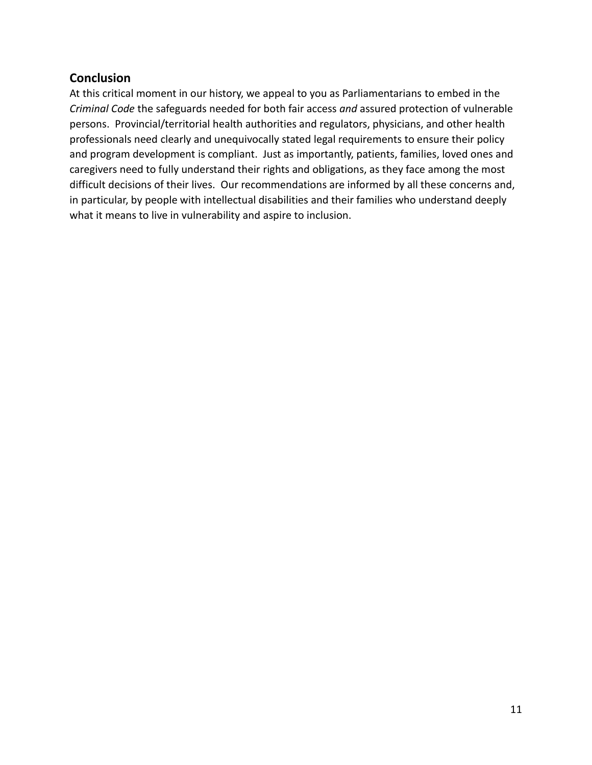### <span id="page-12-0"></span>**Conclusion**

At this critical moment in our history, we appeal to you as Parliamentarians to embed in the *Criminal Code* the safeguards needed for both fair access *and* assured protection of vulnerable persons. Provincial/territorial health authorities and regulators, physicians, and other health professionals need clearly and unequivocally stated legal requirements to ensure their policy and program development is compliant. Just as importantly, patients, families, loved ones and caregivers need to fully understand their rights and obligations, as they face among the most difficult decisions of their lives. Our recommendations are informed by all these concerns and, in particular, by people with intellectual disabilities and their families who understand deeply what it means to live in vulnerability and aspire to inclusion.